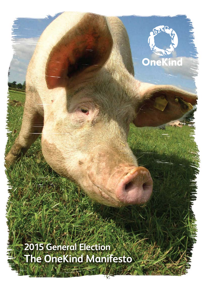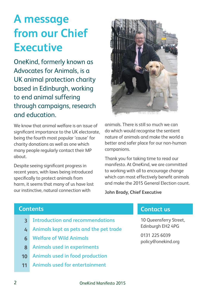### **A message from our Chief Executive**

OneKind, formerly known as Advocates for Animals, is a UK animal protection charity based in Edinburgh, working to end animal suffering through campaigns, research and education.

We know that animal welfare is an issue of significant importance to the UK electorate, being the fourth most popular 'cause' for charity donations as well as one which many people regularly contact their MP about.

Despite seeing significant progress in recent years, with laws being introduced specifically to protect animals from harm, it seems that many of us have lost our instinctive, natural connection with



animals. There is still so much we can do which would recognise the sentient nature of animals and make the world a better and safer place for our non-human companions.

Thank you for taking time to read our manifesto. At OneKind, we are committed to working with all to encourage change which can most effectively benefit animals and make the 2015 General Election count.

**John Brady, Chief Executive**

#### **Contents**

- **Introduction and recommendations 3**
- **Animals kept as pets and the pet trade 4**
- **Welfare of Wild Animals 6**
- **Animals used in experiments 8**
- **Animals used in food production 10**
- **Animals used for entertainment 11**

#### **Contact us**

10 Queensferry Street, Edinburgh EH2 4PG

0131 225 6039 policy@onekind.org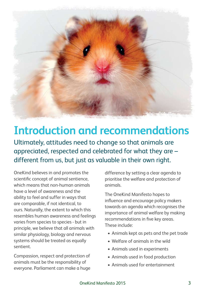

### **Introduction and recommendations**

Ultimately, attitudes need to change so that animals are appreciated, respected and celebrated for what they are – different from us, but just as valuable in their own right.

OneKind believes in and promotes the scientific concept of animal sentience, which means that non-human animals have a level of awareness and the ability to feel and suffer in ways that are comparable, if not identical, to ours. Naturally, the extent to which this resembles human awareness and feelings varies from species to species - but in principle, we believe that all animals with similar physiology, biology and nervous systems should be treated as equally sentient.

Compassion, respect and protection of animals must be the responsibility of everyone. Parliament can make a huge

difference by setting a clear agenda to prioritise the welfare and protection of animals.

The OneKind Manifesto hopes to influence and encourage policy makers towards an agenda which recognises the importance of animal welfare by making recommendations in five key areas. These include:

- • Animals kept as pets and the pet trade
- • Welfare of animals in the wild
- • Animals used in experiments
- Animals used in food production
- Animals used for entertainment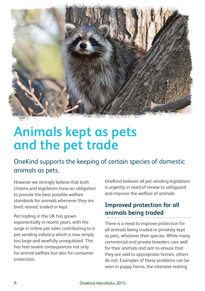

### **Animals kept as pets and the pet trade**

#### OneKind supports the keeping of certain species of domestic animals as pets.

However we strongly believe that both citizens and legislators have an obligation to provide the best possible welfare standards for animals whenever they are bred, reared, traded or kept.

Pet trading in the UK has grown exponentially in recent years, with the surge in online pet sales contributing to a pet vending industry which is now simply too large and woefully unregulated. This has had severe consequences not only for animal welfare but also for consumer protection.

OneKind believes all pet vending legislation is urgently in need of review to safeguard and improve the welfare of animals.

#### **Improved protection for all animals being traded**

There is a need to improve protection for all animals being traded or privately kept as pets, whatever their species. While many commercial and private breeders care well for their animals and aim to ensure that they are sold to appropriate homes, others do not. Examples of these problems can be seen in puppy farms, the intensive rearing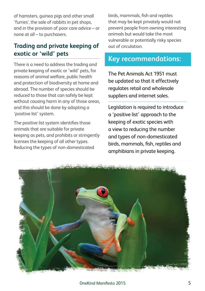of hamsters, guinea pigs and other small 'furries', the sale of rabbits in pet shops, and in the provision of poor care advice – or none at all – to purchasers.

#### **Trading and private keeping of exotic or 'wild' pets**

There is a need to address the trading and private keeping of exotic or 'wild' pets, for reasons of animal welfare, public health and protection of biodiversity at home and abroad. The number of species should be reduced to those that can safely be kept without causing harm in any of those areas, and this should be done by adopting a 'positive list' system.

The positive list system identifies those animals that are suitable for private keeping as pets, and prohibits or stringently licenses the keeping of all other types. Reducing the types of non-domesticated

birds, mammals, fish and reptiles that may be kept privately would not prevent people from owning interesting animals but would take the most vulnerable or potentially risky species out of circulation.

#### **Key recommendations:**

The Pet Animals Act 1951 must be updated so that it effectively regulates retail and wholesale suppliers and internet sales.

Legislation is required to introduce a 'positive list' approach to the keeping of exotic species with a view to reducing the number and types of non-domesticated birds, mammals, fish, reptiles and amphibians in private keeping.

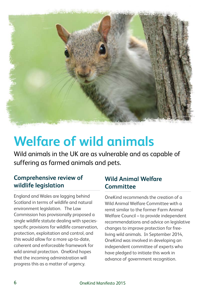

## **Welfare of wild animals**

Wild animals in the UK are as vulnerable and as capable of suffering as farmed animals and pets.

#### **Comprehensive review of wildlife legislation**

England and Wales are lagging behind Scotland in terms of wildlife and natural environment legislation. The Law Commission has provisionally proposed a single wildlife statute dealing with speciesspecific provisions for wildlife conservation, protection, exploitation and control, and this would allow for a more up-to-date, coherent and enforceable framework for wild animal protection. OneKind hopes that the incoming administration will progress this as a matter of urgency.

#### **Wild Animal Welfare Committee**

OneKind recommends the creation of a Wild Animal Welfare Committee with a remit similar to the former Farm Animal Welfare Council – to provide independent recommendations and advice on legislative changes to improve protection for freeliving wild animals. In September 2014, OneKind was involved in developing an independent committee of experts who have pledged to initiate this work in advance of government recognition.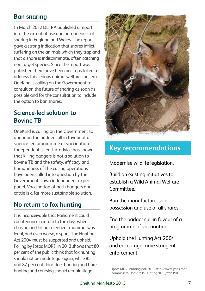#### **Ban snaring**

In March 2012 DEFRA published a report into the extent of use and humaneness of snaring in England and Wales. The report gave a strong indication that snares inflict suffering on the animals which they trap and that a snare is indiscriminate, often catching non target species. Since the report was published there have been no steps taken to address this serious animal welfare concern. OneKind is calling on the Government to consult on the future of snaring as soon as possible and for the consultation to include the option to ban snares.

#### **Science-led solution to Bovine TB**

OneKind is calling on the Government to abandon the badger cull in favour of a science-led programme of vaccination. Independent scientific advice has shown that killing badgers is not a solution to bovine TB and the safety, efficacy and humaneness of the culling operations have been called into question by the Government's own independent expert panel. Vaccination of both badgers and cattle is a far more sustainable solution.

#### **No return to fox hunting**

It is inconceivable that Parliament could countenance a return to the days when chasing and killing a sentient mammal was legal, and even worse, a sport. The Hunting Act 2004 must be supported and upheld. Polling by Ipsos  $MORI<sup>1</sup>$  in 2013 shows that 80 per cent of the public think that fox hunting should not be made legal again, while 85 and 87 per cent think deer hunting and hare hunting and coursing should remain illegal.



#### **Key recommendations**

Modernise wildlife legislation.

Build on existing initiatives to establish a Wild Animal Welfare Committee.

Ban the manufacture, sale, possession and use of all snares.

End the badger cull in favour of a programme of vaccination.

Uphold the Hunting Act 2004 and encourage more stringent enforcement.

<sup>1</sup> Ipsos MORI hunting poll 2013 http://www.ipsos-mori. com/Assets/Docs/Polls/Hunting2013\_web.PDF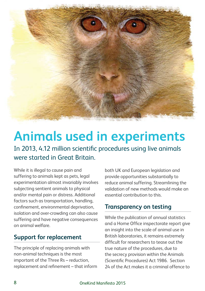

# **Animals used in experiments**

In 2013, 4.12 million scientific procedures using live animals were started in Great Britain.

While it is illegal to cause pain and suffering to animals kept as pets, legal experimentation almost invariably involves subjecting sentient animals to physical and/or mental pain or distress. Additional factors such as transportation, handling, confinement, environmental deprivation, isolation and over-crowding can also cause suffering and have negative consequences on animal welfare.

#### **Support for replacement**

The principle of replacing animals with non-animal techniques is the most important of the Three Rs – reduction, replacement and refinement – that inform

both UK and European legislation and provide opportunities substantially to reduce animal suffering. Streamlining the validation of new methods would make an essential contribution to this.

#### **Transparency on testing**

While the publication of annual statistics and a Home Office inspectorate report give an insight into the scale of animal use in British laboratories, it remains extremely difficult for researchers to tease out the true nature of the procedures, due to the secrecy provision within the Animals (Scientific Procedures) Act 1986. Section 24 of the Act makes it a criminal offence to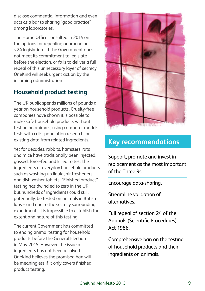disclose confidential information and even acts as a bar to sharing "good practice" among laboratories.

The Home Office consulted in 2014 on the options for repealing or amending s.24 legislation. If the Government does not meet its commitment to legislate before the election, or fails to deliver a full repeal of this unnecessary layer of secrecy, OneKind will seek urgent action by the incoming administration.

#### **Household product testing**

The UK public spends millions of pounds a year on household products. Cruelty-free companies have shown it is possible to make safe household products without testing on animals, using computer models, tests with cells, population research, or existing data from related ingredients.

Yet for decades, rabbits, hamsters, rats and mice have traditionally been injected, gassed, force-fed and killed to test the ingredients of everyday household products such as washing up liquid, air fresheners and dishwasher tablets. "Finished product" testing has dwindled to zero in the UK, but hundreds of ingredients could still, potentially, be tested on animals in British labs – and due to the secrecy surrounding experiments it is impossible to establish the extent and nature of this testing.

The current Government has committed to ending animal testing for household products before the General Election in May 2015. However, the issue of ingredients has not been resolved. OneKind believes the promised ban will be meaningless if it only covers finished product testing.



#### **Key recommendations**

Support, promote and invest in replacement as the most important of the Three Rs.

Encourage data-sharing.

Streamline validation of alternatives.

Full repeal of section 24 of the Animals (Scientific Procedures) Act 1986.

Comprehensive ban on the testing of household products and their ingredients on animals.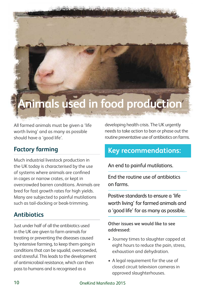# **Animals used in food production**

All farmed animals must be given a 'life worth living' and as many as possible should have a 'good life'.

#### **Factory farming**

Much industrial livestock production in the UK today is characterised by the use of systems where animals are confined in cages or narrow crates, or kept in overcrowded barren conditions. Animals are bred for fast growth rates for high yields. Many are subjected to painful mutilations such as tail-docking or beak-trimming.

#### **Antibiotics**

Just under half of all the antibiotics used in the UK are given to farm animals for treating or preventing the diseases caused by intensive farming, to keep them going in conditions that can be squalid, overcrowded, and stressful. This leads to the development of antimicrobial resistance, which can then pass to humans and is recognised as a

developing health crisis. The UK urgently needs to take action to ban or phase out the routine preventative use of antibiotics on farms.

#### **Key recommendations:**

An end to painful mutilations.

End the routine use of antibiotics on farms.

Positive standards to ensure a 'life worth living' for farmed animals and a 'good life' for as many as possible.

**Other issues we would like to see addressed:** 

- • Journey times to slaughter capped at eight hours to reduce the pain, stress, exhaustion and dehydration.
- A legal requirement for the use of closed circuit television cameras in approved slaughterhouses.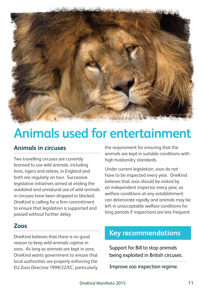

# **Animals used for entertainment**

#### **Animals in circuses**

Two travelling circuses are currently licensed to use wild animals, including lions, tigers and zebras, in England and both are regularly on tour. Successive legislative initiatives aimed at ending the outdated and unnatural use of wild animals in circuses have been dropped or blocked. OneKind is calling for a firm commitment to ensure that legislation is supported and passed without further delay.

#### the requirement for ensuring that the animals are kept in suitable conditions with high husbandry standards.

Under current legislation, zoos do not have to be inspected every year. OneKind believes that zoos should be visited by an independent inspector every year, as welfare conditions at any establishment can deteriorate rapidly and animals may be left in unacceptable welfare conditions for long periods if inspections are less frequent.

#### **Zoos**

OneKind believes that there is no good reason to keep wild animals captive in zoos. As long as animals are kept in zoos, OneKind wants government to ensure that local authorities are properly enforcing the EU Zoos Directive 1999/22/EC, particularly

#### **Key recommendations**

Support for Bill to stop animals being exploited in British circuses.

Improve zoo inspection regime.